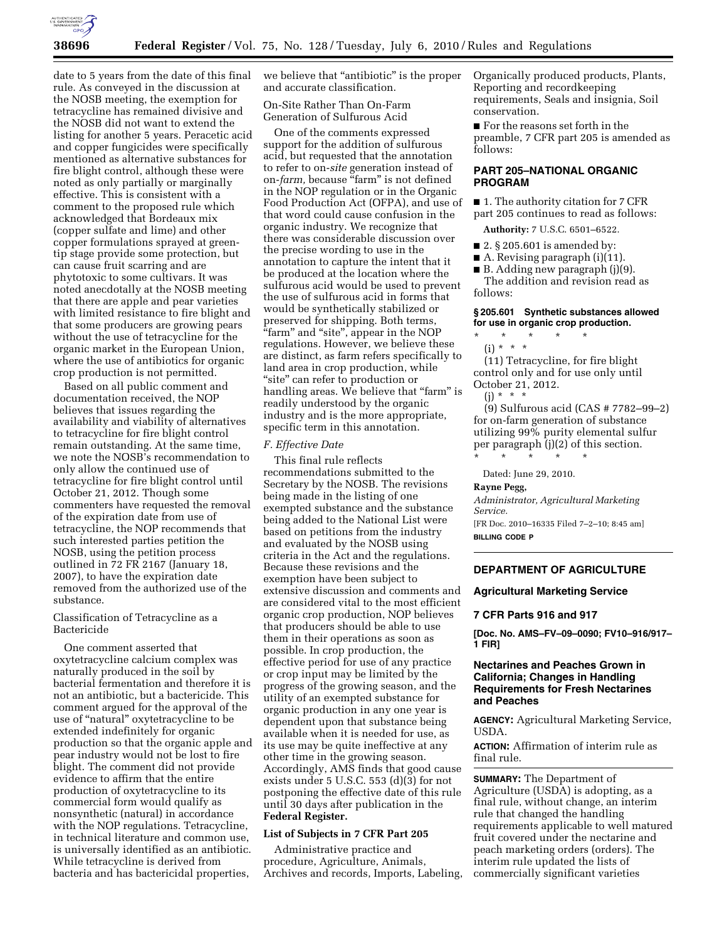

date to 5 years from the date of this final rule. As conveyed in the discussion at the NOSB meeting, the exemption for tetracycline has remained divisive and the NOSB did not want to extend the listing for another 5 years. Peracetic acid and copper fungicides were specifically mentioned as alternative substances for fire blight control, although these were noted as only partially or marginally effective. This is consistent with a comment to the proposed rule which acknowledged that Bordeaux mix (copper sulfate and lime) and other copper formulations sprayed at greentip stage provide some protection, but can cause fruit scarring and are phytotoxic to some cultivars. It was noted anecdotally at the NOSB meeting that there are apple and pear varieties with limited resistance to fire blight and that some producers are growing pears without the use of tetracycline for the organic market in the European Union, where the use of antibiotics for organic crop production is not permitted.

Based on all public comment and documentation received, the NOP believes that issues regarding the availability and viability of alternatives to tetracycline for fire blight control remain outstanding. At the same time, we note the NOSB's recommendation to only allow the continued use of tetracycline for fire blight control until October 21, 2012. Though some commenters have requested the removal of the expiration date from use of tetracycline, the NOP recommends that such interested parties petition the NOSB, using the petition process outlined in 72 FR 2167 (January 18, 2007), to have the expiration date removed from the authorized use of the substance.

## Classification of Tetracycline as a Bactericide

One comment asserted that oxytetracycline calcium complex was naturally produced in the soil by bacterial fermentation and therefore it is not an antibiotic, but a bactericide. This comment argued for the approval of the use of ''natural'' oxytetracycline to be extended indefinitely for organic production so that the organic apple and pear industry would not be lost to fire blight. The comment did not provide evidence to affirm that the entire production of oxytetracycline to its commercial form would qualify as nonsynthetic (natural) in accordance with the NOP regulations. Tetracycline, in technical literature and common use, is universally identified as an antibiotic. While tetracycline is derived from bacteria and has bactericidal properties,

we believe that "antibiotic" is the proper and accurate classification.

On-Site Rather Than On-Farm Generation of Sulfurous Acid

One of the comments expressed support for the addition of sulfurous acid, but requested that the annotation to refer to on-*site* generation instead of on-*farm*, because "farm" is not defined in the NOP regulation or in the Organic Food Production Act (OFPA), and use of that word could cause confusion in the organic industry. We recognize that there was considerable discussion over the precise wording to use in the annotation to capture the intent that it be produced at the location where the sulfurous acid would be used to prevent the use of sulfurous acid in forms that would be synthetically stabilized or preserved for shipping. Both terms, ''farm'' and ''site'', appear in the NOP regulations. However, we believe these are distinct, as farm refers specifically to land area in crop production, while ''site'' can refer to production or handling areas. We believe that "farm" is readily understood by the organic industry and is the more appropriate, specific term in this annotation.

### *F. Effective Date*

This final rule reflects recommendations submitted to the Secretary by the NOSB. The revisions being made in the listing of one exempted substance and the substance being added to the National List were based on petitions from the industry and evaluated by the NOSB using criteria in the Act and the regulations. Because these revisions and the exemption have been subject to extensive discussion and comments and are considered vital to the most efficient organic crop production, NOP believes that producers should be able to use them in their operations as soon as possible. In crop production, the effective period for use of any practice or crop input may be limited by the progress of the growing season, and the utility of an exempted substance for organic production in any one year is dependent upon that substance being available when it is needed for use, as its use may be quite ineffective at any other time in the growing season. Accordingly, AMS finds that good cause exists under 5 U.S.C. 553 (d)(3) for not postponing the effective date of this rule until 30 days after publication in the **Federal Register.** 

# **List of Subjects in 7 CFR Part 205**

Administrative practice and procedure, Agriculture, Animals, Archives and records, Imports, Labeling, Organically produced products, Plants, Reporting and recordkeeping requirements, Seals and insignia, Soil conservation.

■ For the reasons set forth in the preamble, 7 CFR part 205 is amended as follows:

### **PART 205–NATIONAL ORGANIC PROGRAM**

■ 1. The authority citation for 7 CFR part 205 continues to read as follows:

**Authority:** 7 U.S.C. 6501–6522.

- 2. § 205.601 is amended by:
- A. Revising paragraph (i)(11).

■ B. Adding new paragraph (j)(9).

The addition and revision read as follows:

## **§ 205.601 Synthetic substances allowed for use in organic crop production.**

\* \* \* \* \* (i) \* \* \*

(11) Tetracycline, for fire blight control only and for use only until October 21, 2012.

(j) \* \* \*

(9) Sulfurous acid (CAS # 7782–99–2) for on-farm generation of substance utilizing 99% purity elemental sulfur per paragraph (j)(2) of this section.

\* \* \* \* \*

Dated: June 29, 2010.

**Rayne Pegg,** 

*Administrator, Agricultural Marketing Service.* 

[FR Doc. 2010–16335 Filed 7–2–10; 8:45 am] **BILLING CODE P** 

### **DEPARTMENT OF AGRICULTURE**

### **Agricultural Marketing Service**

### **7 CFR Parts 916 and 917**

**[Doc. No. AMS–FV–09–0090; FV10–916/917– 1 FIR]** 

# **Nectarines and Peaches Grown in California; Changes in Handling Requirements for Fresh Nectarines and Peaches**

**AGENCY:** Agricultural Marketing Service, USDA.

**ACTION:** Affirmation of interim rule as final rule.

**SUMMARY:** The Department of Agriculture (USDA) is adopting, as a final rule, without change, an interim rule that changed the handling requirements applicable to well matured fruit covered under the nectarine and peach marketing orders (orders). The interim rule updated the lists of commercially significant varieties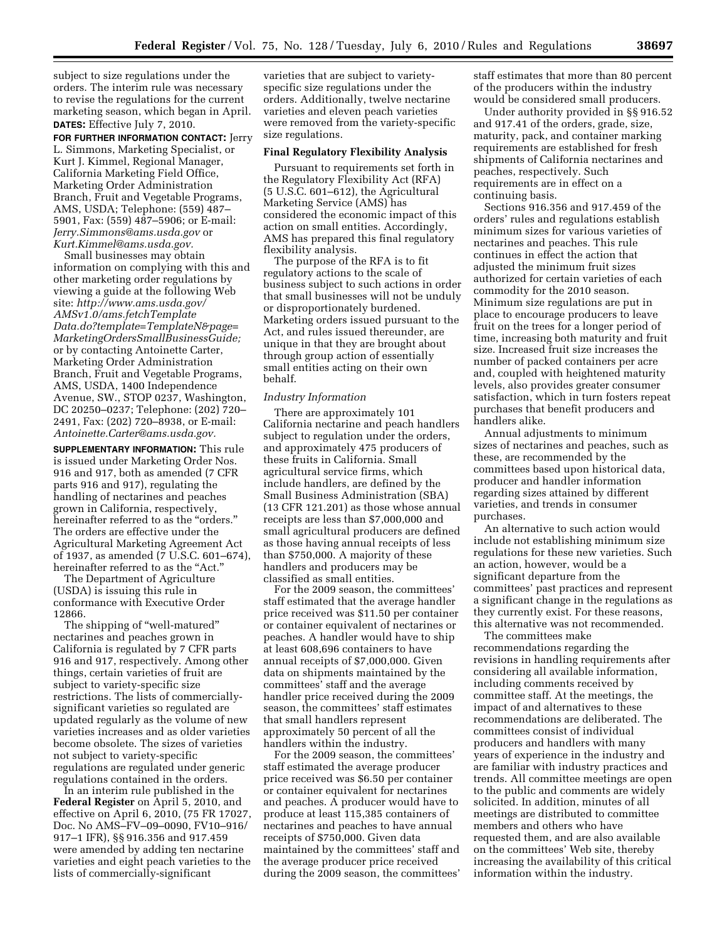subject to size regulations under the orders. The interim rule was necessary to revise the regulations for the current marketing season, which began in April. **DATES:** Effective July 7, 2010.

**FOR FURTHER INFORMATION CONTACT:** Jerry L. Simmons, Marketing Specialist, or Kurt J. Kimmel, Regional Manager, California Marketing Field Office, Marketing Order Administration Branch, Fruit and Vegetable Programs, AMS, USDA; Telephone: (559) 487– 5901, Fax: (559) 487–5906; or E-mail: *Jerry.Simmons@ams.usda.gov* or *Kurt.Kimmel@ams.usda.gov.* 

Small businesses may obtain information on complying with this and other marketing order regulations by viewing a guide at the following Web site: *http://www.ams.usda.gov/ AMSv1.0/ams.fetchTemplate Data.do?template=TemplateN&page= MarketingOrdersSmallBusinessGuide;*  or by contacting Antoinette Carter, Marketing Order Administration Branch, Fruit and Vegetable Programs, AMS, USDA, 1400 Independence Avenue, SW., STOP 0237, Washington, DC 20250–0237; Telephone: (202) 720– 2491, Fax: (202) 720–8938, or E-mail: *Antoinette.Carter@ams.usda.gov.* 

**SUPPLEMENTARY INFORMATION:** This rule is issued under Marketing Order Nos. 916 and 917, both as amended (7 CFR parts 916 and 917), regulating the handling of nectarines and peaches grown in California, respectively, hereinafter referred to as the "orders." The orders are effective under the Agricultural Marketing Agreement Act of 1937, as amended (7 U.S.C. 601–674), hereinafter referred to as the "Act."

The Department of Agriculture (USDA) is issuing this rule in conformance with Executive Order 12866.

The shipping of "well-matured" nectarines and peaches grown in California is regulated by 7 CFR parts 916 and 917, respectively. Among other things, certain varieties of fruit are subject to variety-specific size restrictions. The lists of commerciallysignificant varieties so regulated are updated regularly as the volume of new varieties increases and as older varieties become obsolete. The sizes of varieties not subject to variety-specific regulations are regulated under generic regulations contained in the orders.

In an interim rule published in the **Federal Register** on April 5, 2010, and effective on April 6, 2010, (75 FR 17027, Doc. No AMS–FV–09–0090, FV10–916/ 917–1 IFR), §§ 916.356 and 917.459 were amended by adding ten nectarine varieties and eight peach varieties to the lists of commercially-significant

varieties that are subject to varietyspecific size regulations under the orders. Additionally, twelve nectarine varieties and eleven peach varieties were removed from the variety-specific size regulations.

#### **Final Regulatory Flexibility Analysis**

Pursuant to requirements set forth in the Regulatory Flexibility Act (RFA) (5 U.S.C. 601–612), the Agricultural Marketing Service (AMS) has considered the economic impact of this action on small entities. Accordingly, AMS has prepared this final regulatory flexibility analysis.

The purpose of the RFA is to fit regulatory actions to the scale of business subject to such actions in order that small businesses will not be unduly or disproportionately burdened. Marketing orders issued pursuant to the Act, and rules issued thereunder, are unique in that they are brought about through group action of essentially small entities acting on their own behalf.

### *Industry Information*

There are approximately 101 California nectarine and peach handlers subject to regulation under the orders, and approximately 475 producers of these fruits in California. Small agricultural service firms, which include handlers, are defined by the Small Business Administration (SBA) (13 CFR 121.201) as those whose annual receipts are less than \$7,000,000 and small agricultural producers are defined as those having annual receipts of less than \$750,000. A majority of these handlers and producers may be classified as small entities.

For the 2009 season, the committees' staff estimated that the average handler price received was \$11.50 per container or container equivalent of nectarines or peaches. A handler would have to ship at least 608,696 containers to have annual receipts of \$7,000,000. Given data on shipments maintained by the committees' staff and the average handler price received during the 2009 season, the committees' staff estimates that small handlers represent approximately 50 percent of all the handlers within the industry.

For the 2009 season, the committees' staff estimated the average producer price received was \$6.50 per container or container equivalent for nectarines and peaches. A producer would have to produce at least 115,385 containers of nectarines and peaches to have annual receipts of \$750,000. Given data maintained by the committees' staff and the average producer price received during the 2009 season, the committees' staff estimates that more than 80 percent of the producers within the industry would be considered small producers.

Under authority provided in §§ 916.52 and 917.41 of the orders, grade, size, maturity, pack, and container marking requirements are established for fresh shipments of California nectarines and peaches, respectively. Such requirements are in effect on a continuing basis.

Sections 916.356 and 917.459 of the orders' rules and regulations establish minimum sizes for various varieties of nectarines and peaches. This rule continues in effect the action that adjusted the minimum fruit sizes authorized for certain varieties of each commodity for the 2010 season. Minimum size regulations are put in place to encourage producers to leave fruit on the trees for a longer period of time, increasing both maturity and fruit size. Increased fruit size increases the number of packed containers per acre and, coupled with heightened maturity levels, also provides greater consumer satisfaction, which in turn fosters repeat purchases that benefit producers and handlers alike.

Annual adjustments to minimum sizes of nectarines and peaches, such as these, are recommended by the committees based upon historical data, producer and handler information regarding sizes attained by different varieties, and trends in consumer purchases.

An alternative to such action would include not establishing minimum size regulations for these new varieties. Such an action, however, would be a significant departure from the committees' past practices and represent a significant change in the regulations as they currently exist. For these reasons, this alternative was not recommended.

The committees make recommendations regarding the revisions in handling requirements after considering all available information, including comments received by committee staff. At the meetings, the impact of and alternatives to these recommendations are deliberated. The committees consist of individual producers and handlers with many years of experience in the industry and are familiar with industry practices and trends. All committee meetings are open to the public and comments are widely solicited. In addition, minutes of all meetings are distributed to committee members and others who have requested them, and are also available on the committees' Web site, thereby increasing the availability of this critical information within the industry.